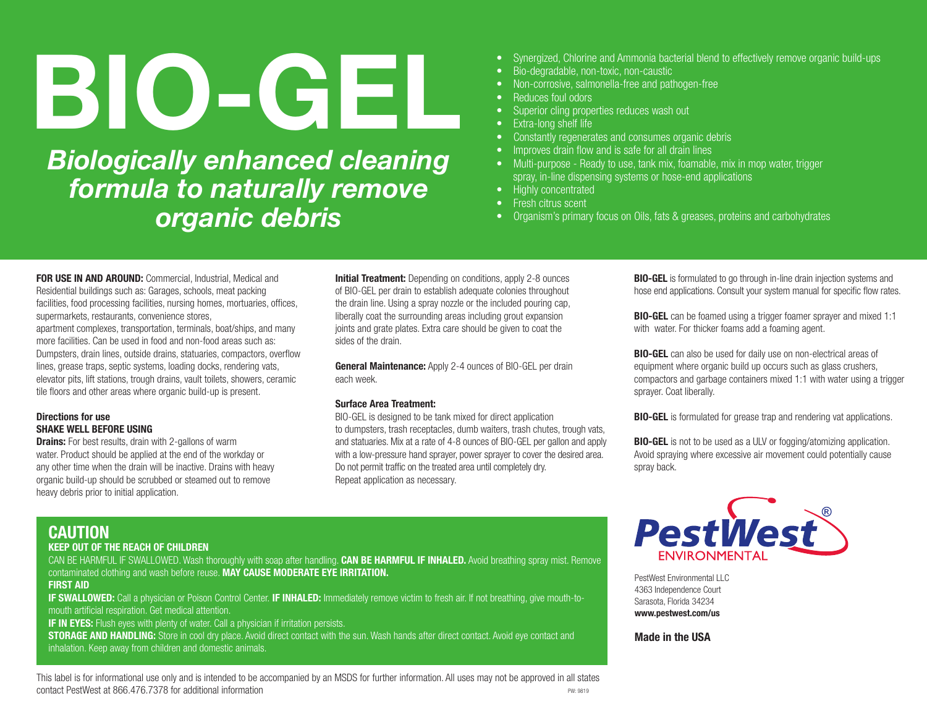# BIO-GEL

*Biologically enhanced cleaning formula to naturally remove organic debris*

- Synergized, Chlorine and Ammonia bacterial blend to effectively remove organic build-ups
- Bio-degradable, non-toxic, non-caustic
- Non-corrosive, salmonella-free and pathogen-free
- Reduces foul odors
- Superior cling properties reduces wash out
- Extra-long shelf life
- Constantly regenerates and consumes organic debris
- Improves drain flow and is safe for all drain lines
- Multi-purpose Ready to use, tank mix, foamable, mix in mop water, trigger spray, in-line dispensing systems or hose-end applications
- Highly concentrated
- Fresh citrus scent
- Organism's primary focus on Oils, fats & greases, proteins and carbohydrates

FOR USE IN AND AROUND: Commercial, Industrial, Medical and Residential buildings such as: Garages, schools, meat packing facilities, food processing facilities, nursing homes, mortuaries, offices, supermarkets, restaurants, convenience stores, apartment complexes, transportation, terminals, boat/ships, and many more facilities. Can be used in food and non-food areas such as: Dumpsters, drain lines, outside drains, statuaries, compactors, overflow lines, grease traps, septic systems, loading docks, rendering vats, elevator pits, lift stations, trough drains, vault toilets, showers, ceramic tile floors and other areas where organic build-up is present.

# Directions for use SHAKE WELL BEFORE USING

**Drains:** For best results, drain with 2-gallons of warm water. Product should be applied at the end of the workday or any other time when the drain will be inactive. Drains with heavy organic build-up should be scrubbed or steamed out to remove heavy debris prior to initial application.

**Initial Treatment:** Depending on conditions, apply 2-8 ounces of BIO-GEL per drain to establish adequate colonies throughout the drain line. Using a spray nozzle or the included pouring cap, liberally coat the surrounding areas including grout expansion joints and grate plates. Extra care should be given to coat the sides of the drain.

**General Maintenance:** Apply 2-4 ounces of BIO-GEL per drain each week.

## Surface Area Treatment:

BIO-GEL is designed to be tank mixed for direct application to dumpsters, trash receptacles, dumb waiters, trash chutes, trough vats, and statuaries. Mix at a rate of 4-8 ounces of BIO-GEL per gallon and apply with a low-pressure hand sprayer, power sprayer to cover the desired area. Do not permit traffic on the treated area until completely dry. Repeat application as necessary.

BIO-GEL is formulated to go through in-line drain injection systems and hose end applications. Consult your system manual for specific flow rates.

BIO-GEL can be foamed using a trigger foamer sprayer and mixed 1:1 with water. For thicker foams add a foaming agent.

BIO-GEL can also be used for daily use on non-electrical areas of equipment where organic build up occurs such as glass crushers, compactors and garbage containers mixed 1:1 with water using a trigger sprayer. Coat liberally.

BIO-GEL is formulated for grease trap and rendering vat applications.

**BIO-GEL** is not to be used as a ULV or fogging/atomizing application. Avoid spraying where excessive air movement could potentially cause spray back.

# CAUTION

# KEEP OUT OF THE REACH OF CHILDREN

CAN BE HARMFUL IF SWALLOWED. Wash thoroughly with soap after handling. CAN BE HARMFUL IF INHALED. Avoid breathing spray mist. Remove contaminated clothing and wash before reuse. MAY CAUSE MODERATE EYE IRRITATION.

FIRST AID

IF SWALLOWED: Call a physician or Poison Control Center. IF INHALED: Immediately remove victim to fresh air. If not breathing, give mouth-tomouth artificial respiration. Get medical attention.

**IF IN EYES:** Flush eyes with plenty of water. Call a physician if irritation persists.

**STORAGE AND HANDLING:** Store in cool dry place. Avoid direct contact with the sun. Wash hands after direct contact. Avoid eye contact and inhalation. Keep away from children and domestic animals.

PW: 9819 This label is for informational use only and is intended to be accompanied by an MSDS for further information. All uses may not be approved in all states contact PestWest at 866.476.7378 for additional information



PestWest Environmental LLC 4363 Independence Court Sarasota, Florida 34234 www.pestwest.com/us

Made in the USA